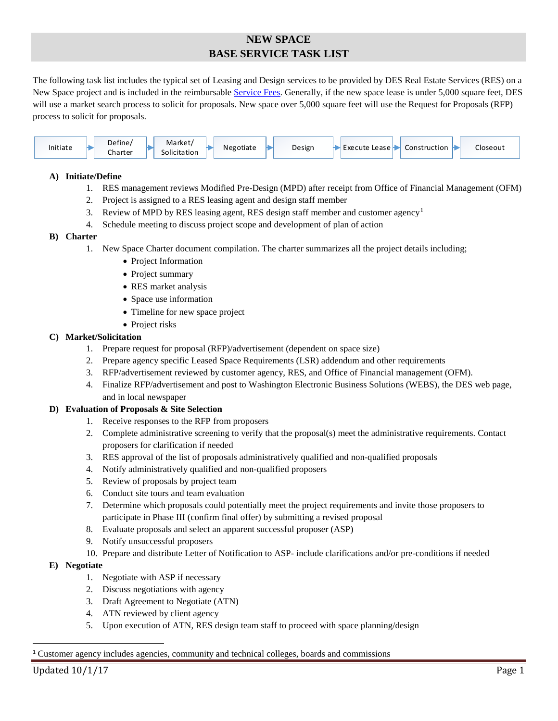# **NEW SPACE BASE SERVICE TASK LIST**

The following task list includes the typical set of Leasing and Design services to be provided by DES Real Estate Services (RES) on a New Space project and is included in the reimbursable [Service Fees.](https://des.wa.gov/services/facilities-leasing/real-estate-services/service-fees) Generally, if the new space lease is under 5,000 square feet, DES will use a market search process to solicit for proposals. New space over 5,000 square feet will use the Request for Proposals (RFP) process to solicit for proposals.

| Define/<br>Market/<br>Initiate<br><b>Solicitation</b><br>Charter | Design<br>Negotiate | Construction<br>Execute Lease H | Closeout |
|------------------------------------------------------------------|---------------------|---------------------------------|----------|
|------------------------------------------------------------------|---------------------|---------------------------------|----------|

# **A) Initiate/Define**

- 1. RES management reviews Modified Pre-Design (MPD) after receipt from Office of Financial Management (OFM)
- 2. Project is assigned to a RES leasing agent and design staff member
- 3. Review of MPD by RES leasing agent, RES design staff member and customer agency[1](#page-0-0)
- 4. Schedule meeting to discuss project scope and development of plan of action

## **B) Charter**

- 1. New Space Charter document compilation. The charter summarizes all the project details including;
	- Project Information
	- Project summary
	- RES market analysis
	- Space use information
	- Timeline for new space project
	- Project risks

# **C) Market/Solicitation**

- 1. Prepare request for proposal (RFP)/advertisement (dependent on space size)
- 2. Prepare agency specific Leased Space Requirements (LSR) addendum and other requirements
- 3. RFP/advertisement reviewed by customer agency, RES, and Office of Financial management (OFM).
- 4. Finalize RFP/advertisement and post to Washington Electronic Business Solutions (WEBS), the DES web page, and in local newspaper

## **D) Evaluation of Proposals & Site Selection**

- 1. Receive responses to the RFP from proposers
- 2. Complete administrative screening to verify that the proposal(s) meet the administrative requirements. Contact proposers for clarification if needed
- 3. RES approval of the list of proposals administratively qualified and non-qualified proposals
- 4. Notify administratively qualified and non-qualified proposers
- 5. Review of proposals by project team
- 6. Conduct site tours and team evaluation
- 7. Determine which proposals could potentially meet the project requirements and invite those proposers to participate in Phase III (confirm final offer) by submitting a revised proposal
- 8. Evaluate proposals and select an apparent successful proposer (ASP)
- 9. Notify unsuccessful proposers
- 10. Prepare and distribute Letter of Notification to ASP- include clarifications and/or pre-conditions if needed

# **E) Negotiate**

- 1. Negotiate with ASP if necessary
- 2. Discuss negotiations with agency
- 3. Draft Agreement to Negotiate (ATN)
- 4. ATN reviewed by client agency
- 5. Upon execution of ATN, RES design team staff to proceed with space planning/design

#### <span id="page-0-0"></span>1 Customer agency includes agencies, community and technical colleges, boards and commissions